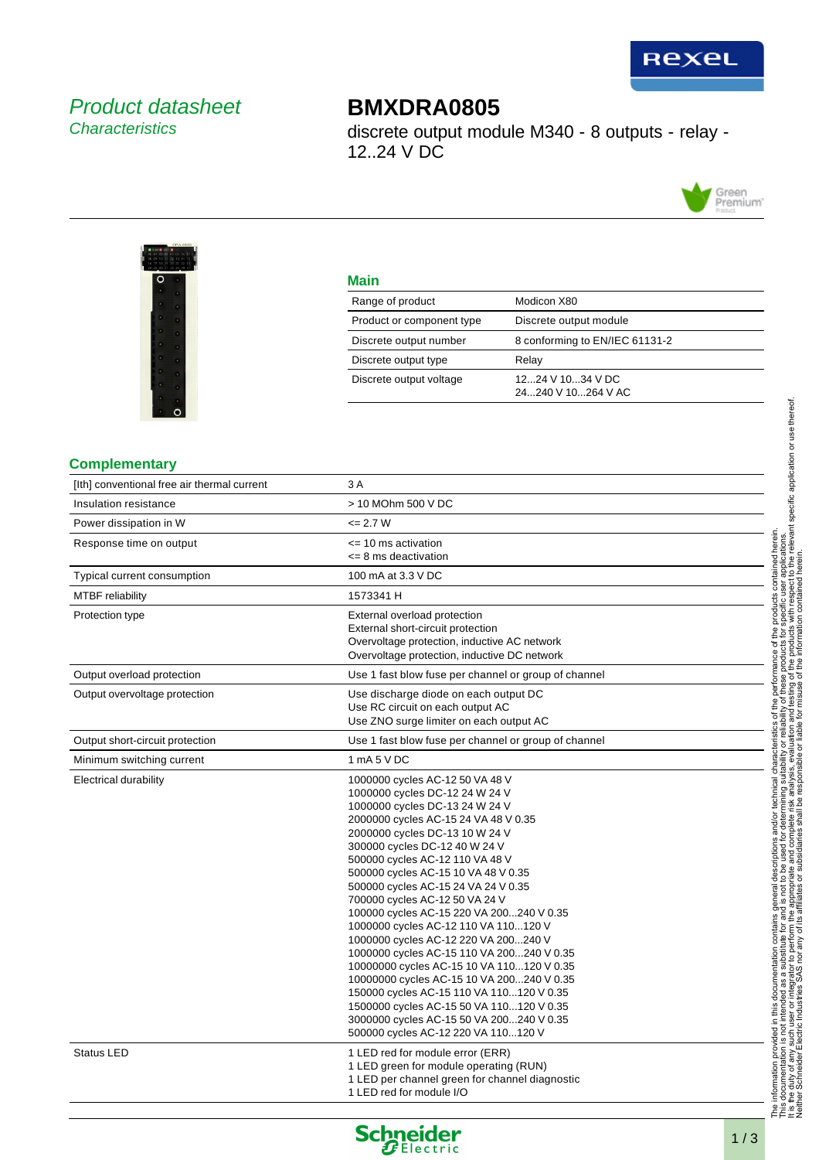

## Product datasheet **Characteristics**

# **BMXDRA0805**

discrete output module M340 - 8 outputs - relay - 12..24 V DC





## **Main**

| Range of product          | Modicon X80                            |  |  |  |
|---------------------------|----------------------------------------|--|--|--|
| Product or component type | Discrete output module                 |  |  |  |
| Discrete output number    | 8 conforming to EN/IEC 61131-2         |  |  |  |
| Discrete output type      | Relay                                  |  |  |  |
| Discrete output voltage   | 1224 V 1034 V DC<br>24240 V 10264 V AC |  |  |  |

### **Complementary**

| [Ith] conventional free air thermal current | 3 A                                                                                                                                                                                                                                                                                                                                                                                                                                                                                                                                                                                                                                                                                                                                                                                                             |  |  |  |  |
|---------------------------------------------|-----------------------------------------------------------------------------------------------------------------------------------------------------------------------------------------------------------------------------------------------------------------------------------------------------------------------------------------------------------------------------------------------------------------------------------------------------------------------------------------------------------------------------------------------------------------------------------------------------------------------------------------------------------------------------------------------------------------------------------------------------------------------------------------------------------------|--|--|--|--|
| Insulation resistance                       | > 10 MOhm 500 V DC                                                                                                                                                                                                                                                                                                                                                                                                                                                                                                                                                                                                                                                                                                                                                                                              |  |  |  |  |
| Power dissipation in W                      | $= 2.7 W$                                                                                                                                                                                                                                                                                                                                                                                                                                                                                                                                                                                                                                                                                                                                                                                                       |  |  |  |  |
| Response time on output                     | <= 10 ms activation<br><= 8 ms deactivation                                                                                                                                                                                                                                                                                                                                                                                                                                                                                                                                                                                                                                                                                                                                                                     |  |  |  |  |
| Typical current consumption                 | 100 mA at 3.3 V DC                                                                                                                                                                                                                                                                                                                                                                                                                                                                                                                                                                                                                                                                                                                                                                                              |  |  |  |  |
| <b>MTBF</b> reliability                     | 1573341 H                                                                                                                                                                                                                                                                                                                                                                                                                                                                                                                                                                                                                                                                                                                                                                                                       |  |  |  |  |
| Protection type                             | External overload protection<br>External short-circuit protection<br>Overvoltage protection, inductive AC network<br>Overvoltage protection, inductive DC network                                                                                                                                                                                                                                                                                                                                                                                                                                                                                                                                                                                                                                               |  |  |  |  |
| Output overload protection                  | Use 1 fast blow fuse per channel or group of channel                                                                                                                                                                                                                                                                                                                                                                                                                                                                                                                                                                                                                                                                                                                                                            |  |  |  |  |
| Output overvoltage protection               | Use discharge diode on each output DC<br>Use RC circuit on each output AC<br>Use ZNO surge limiter on each output AC                                                                                                                                                                                                                                                                                                                                                                                                                                                                                                                                                                                                                                                                                            |  |  |  |  |
| Output short-circuit protection             | Use 1 fast blow fuse per channel or group of channel                                                                                                                                                                                                                                                                                                                                                                                                                                                                                                                                                                                                                                                                                                                                                            |  |  |  |  |
| Minimum switching current                   | 1 mA 5 V DC                                                                                                                                                                                                                                                                                                                                                                                                                                                                                                                                                                                                                                                                                                                                                                                                     |  |  |  |  |
| Electrical durability                       | 1000000 cycles AC-12 50 VA 48 V<br>1000000 cycles DC-12 24 W 24 V<br>1000000 cycles DC-13 24 W 24 V<br>2000000 cycles AC-15 24 VA 48 V 0.35<br>2000000 cycles DC-13 10 W 24 V<br>300000 cycles DC-12 40 W 24 V<br>500000 cycles AC-12 110 VA 48 V<br>500000 cycles AC-15 10 VA 48 V 0.35<br>500000 cycles AC-15 24 VA 24 V 0.35<br>700000 cycles AC-12 50 VA 24 V<br>100000 cycles AC-15 220 VA 200240 V 0.35<br>1000000 cycles AC-12 110 VA 110120 V<br>1000000 cycles AC-12 220 VA 200240 V<br>1000000 cycles AC-15 110 VA 200240 V 0.35<br>10000000 cycles AC-15 10 VA 110120 V 0.35<br>10000000 cycles AC-15 10 VA 200240 V 0.35<br>150000 cycles AC-15 110 VA 110120 V 0.35<br>1500000 cycles AC-15 50 VA 110120 V 0.35<br>3000000 cycles AC-15 50 VA 200240 V 0.35<br>500000 cycles AC-12 220 VA 110120 V |  |  |  |  |
| <b>Status LED</b>                           | 1 LED red for module error (ERR)<br>1 LED green for module operating (RUN)<br>1 LED per channel green for channel diagnostic<br>1 LED red for module I/O                                                                                                                                                                                                                                                                                                                                                                                                                                                                                                                                                                                                                                                        |  |  |  |  |

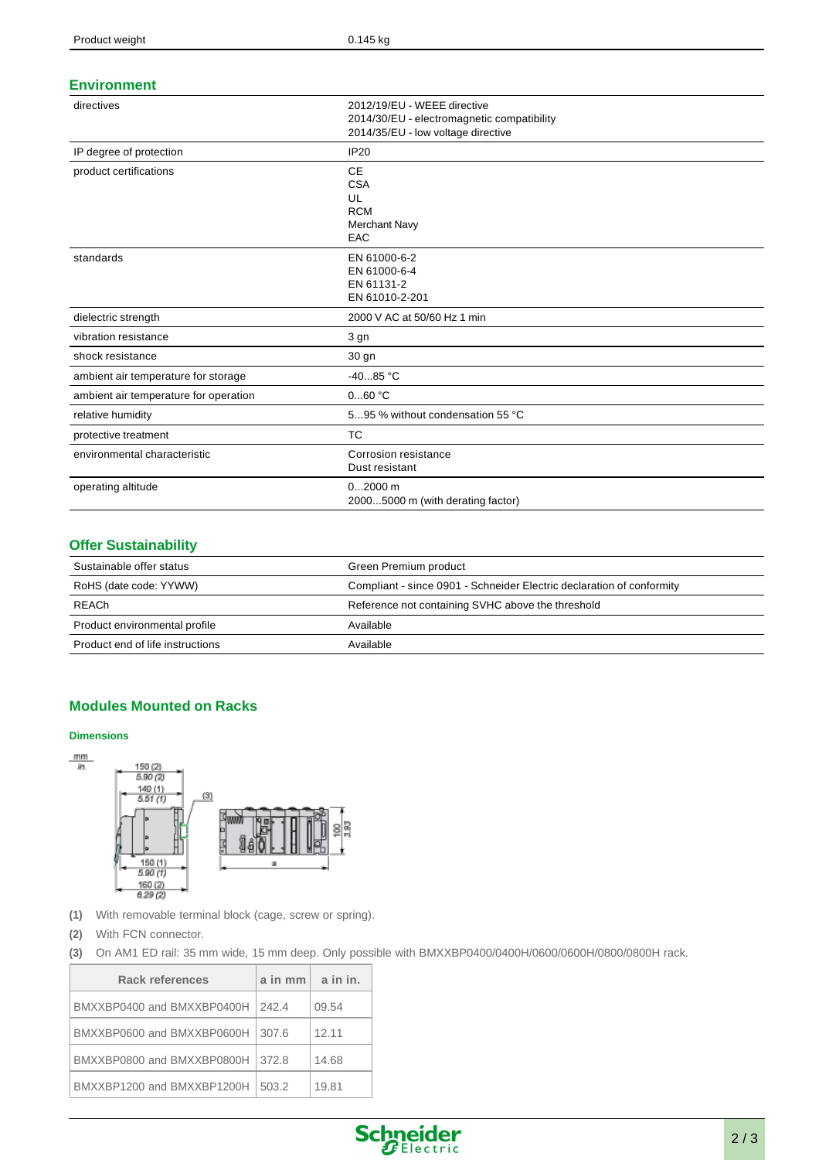#### **Environment**

| directives                            | 2012/19/EU - WEEE directive<br>2014/30/EU - electromagnetic compatibility<br>2014/35/EU - low voltage directive<br><b>IP20</b> |  |  |  |  |
|---------------------------------------|--------------------------------------------------------------------------------------------------------------------------------|--|--|--|--|
| IP degree of protection               |                                                                                                                                |  |  |  |  |
| product certifications                | <b>CE</b><br><b>CSA</b><br>UL<br><b>RCM</b><br><b>Merchant Navy</b><br>EAC                                                     |  |  |  |  |
| standards                             | EN 61000-6-2<br>EN 61000-6-4<br>EN 61131-2<br>EN 61010-2-201                                                                   |  |  |  |  |
| dielectric strength                   | 2000 V AC at 50/60 Hz 1 min                                                                                                    |  |  |  |  |
| vibration resistance                  | 3 gn                                                                                                                           |  |  |  |  |
| shock resistance                      | 30 gn                                                                                                                          |  |  |  |  |
| ambient air temperature for storage   | $-4085 °C$                                                                                                                     |  |  |  |  |
| ambient air temperature for operation | 060 °C                                                                                                                         |  |  |  |  |
| relative humidity                     | 595 % without condensation 55 °C                                                                                               |  |  |  |  |
| protective treatment                  | <b>TC</b>                                                                                                                      |  |  |  |  |
| environmental characteristic          | Corrosion resistance<br>Dust resistant                                                                                         |  |  |  |  |
| operating altitude                    | $02000$ m<br>20005000 m (with derating factor)                                                                                 |  |  |  |  |

## **Offer Sustainability**

| Sustainable offer status         | Green Premium product                                                 |
|----------------------------------|-----------------------------------------------------------------------|
| RoHS (date code: YYWW)           | Compliant - since 0901 - Schneider Electric declaration of conformity |
| REACh                            | Reference not containing SVHC above the threshold                     |
| Product environmental profile    | Available                                                             |
| Product end of life instructions | Available                                                             |

## **Modules Mounted on Racks**

#### **Dimensions**



- **(1)** With removable terminal block (cage, screw or spring).
- **(2)** With FCN connector.
- **(3)** On AM1 ED rail: 35 mm wide, 15 mm deep. Only possible with BMXXBP0400/0400H/0600/0600H/0800/0800H rack.

| Rack references            | a in mm | a in in. |
|----------------------------|---------|----------|
| BMXXBP0400 and BMXXBP0400H | 242.4   | 09.54    |
| BMXXBP0600 and BMXXBP0600H | 307.6   | 12.11    |
| BMXXBP0800 and BMXXBP0800H | 372.8   | 14.68    |
| BMXXBP1200 and BMXXBP1200H | 503.2   | 19.81    |